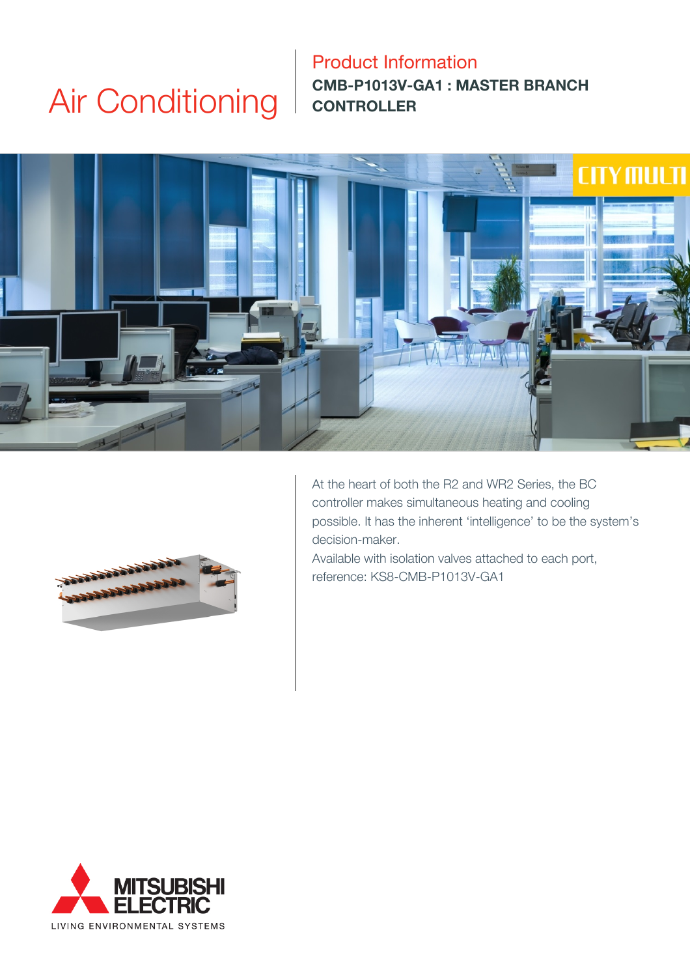# Air Conditioning

### Product Information **CMB-P1013V-GA1 : MASTER BRANCH CONTROLLER**





At the heart of both the R2 and WR2 Series, the BC controller makes simultaneous heating and cooling possible. It has the inherent 'intelligence' to be the system's decision-maker.

Available with isolation valves attached to each port, reference: KS8-CMB-P1013V-GA1